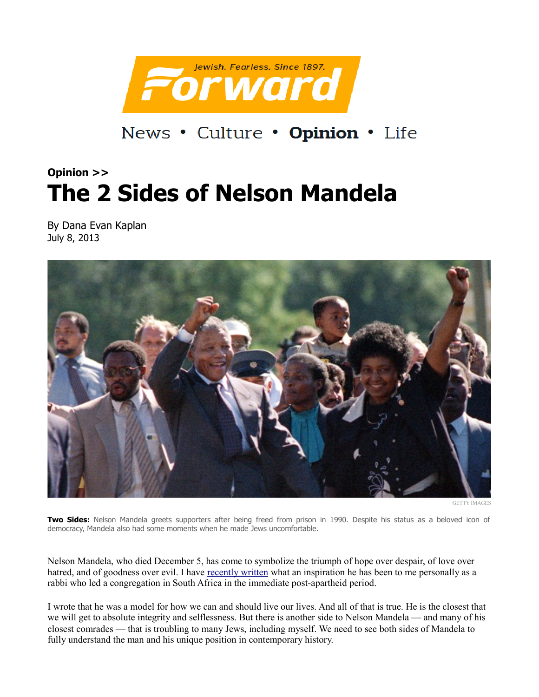

News • Culture • Opinion • Life

## **Opinion >> The 2 Sides of Nelson Mandela**

By Dana Evan Kaplan July 8, 2013



GETTY IMAGES

**Two Sides:** Nelson Mandela greets supporters after being freed from prison in 1990. Despite his status as a beloved icon of democracy, Mandela also had some moments when he made Jews uncomfortable.

Nelson Mandela, who died December 5, has come to symbolize the triumph of hope over despair, of love over hatred, and of goodness over evil. I have [recently written](http://www.tabletmag.com/scroll/136241/the-rabbi-and-nelson-mandela) what an inspiration he has been to me personally as a rabbi who led a congregation in South Africa in the immediate post-apartheid period.

I wrote that he was a model for how we can and should live our lives. And all of that is true. He is the closest that we will get to absolute integrity and selflessness. But there is another side to Nelson Mandela — and many of his closest comrades — that is troubling to many Jews, including myself. We need to see both sides of Mandela to fully understand the man and his unique position in contemporary history.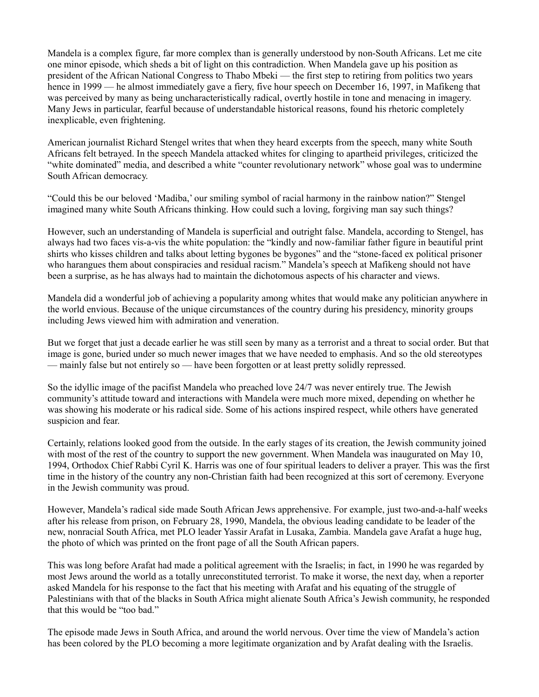Mandela is a complex figure, far more complex than is generally understood by non-South Africans. Let me cite one minor episode, which sheds a bit of light on this contradiction. When Mandela gave up his position as president of the African National Congress to Thabo Mbeki — the first step to retiring from politics two years hence in 1999 — he almost immediately gave a fiery, five hour speech on December 16, 1997, in Mafikeng that was perceived by many as being uncharacteristically radical, overtly hostile in tone and menacing in imagery. Many Jews in particular, fearful because of understandable historical reasons, found his rhetoric completely inexplicable, even frightening.

American journalist Richard Stengel writes that when they heard excerpts from the speech, many white South Africans felt betrayed. In the speech Mandela attacked whites for clinging to apartheid privileges, criticized the "white dominated" media, and described a white "counter revolutionary network" whose goal was to undermine South African democracy.

"Could this be our beloved 'Madiba,' our smiling symbol of racial harmony in the rainbow nation?" Stengel imagined many white South Africans thinking. How could such a loving, forgiving man say such things?

However, such an understanding of Mandela is superficial and outright false. Mandela, according to Stengel, has always had two faces vis-a-vis the white population: the "kindly and now-familiar father figure in beautiful print shirts who kisses children and talks about letting bygones be bygones" and the "stone-faced ex political prisoner who harangues them about conspiracies and residual racism." Mandela's speech at Mafikeng should not have been a surprise, as he has always had to maintain the dichotomous aspects of his character and views.

Mandela did a wonderful job of achieving a popularity among whites that would make any politician anywhere in the world envious. Because of the unique circumstances of the country during his presidency, minority groups including Jews viewed him with admiration and veneration.

But we forget that just a decade earlier he was still seen by many as a terrorist and a threat to social order. But that image is gone, buried under so much newer images that we have needed to emphasis. And so the old stereotypes — mainly false but not entirely so — have been forgotten or at least pretty solidly repressed.

So the idyllic image of the pacifist Mandela who preached love 24/7 was never entirely true. The Jewish community's attitude toward and interactions with Mandela were much more mixed, depending on whether he was showing his moderate or his radical side. Some of his actions inspired respect, while others have generated suspicion and fear.

Certainly, relations looked good from the outside. In the early stages of its creation, the Jewish community joined with most of the rest of the country to support the new government. When Mandela was inaugurated on May 10, 1994, Orthodox Chief Rabbi Cyril K. Harris was one of four spiritual leaders to deliver a prayer. This was the first time in the history of the country any non-Christian faith had been recognized at this sort of ceremony. Everyone in the Jewish community was proud.

However, Mandela's radical side made South African Jews apprehensive. For example, just two-and-a-half weeks after his release from prison, on February 28, 1990, Mandela, the obvious leading candidate to be leader of the new, nonracial South Africa, met PLO leader Yassir Arafat in Lusaka, Zambia. Mandela gave Arafat a huge hug, the photo of which was printed on the front page of all the South African papers.

This was long before Arafat had made a political agreement with the Israelis; in fact, in 1990 he was regarded by most Jews around the world as a totally unreconstituted terrorist. To make it worse, the next day, when a reporter asked Mandela for his response to the fact that his meeting with Arafat and his equating of the struggle of Palestinians with that of the blacks in South Africa might alienate South Africa's Jewish community, he responded that this would be "too bad."

The episode made Jews in South Africa, and around the world nervous. Over time the view of Mandela's action has been colored by the PLO becoming a more legitimate organization and by Arafat dealing with the Israelis.